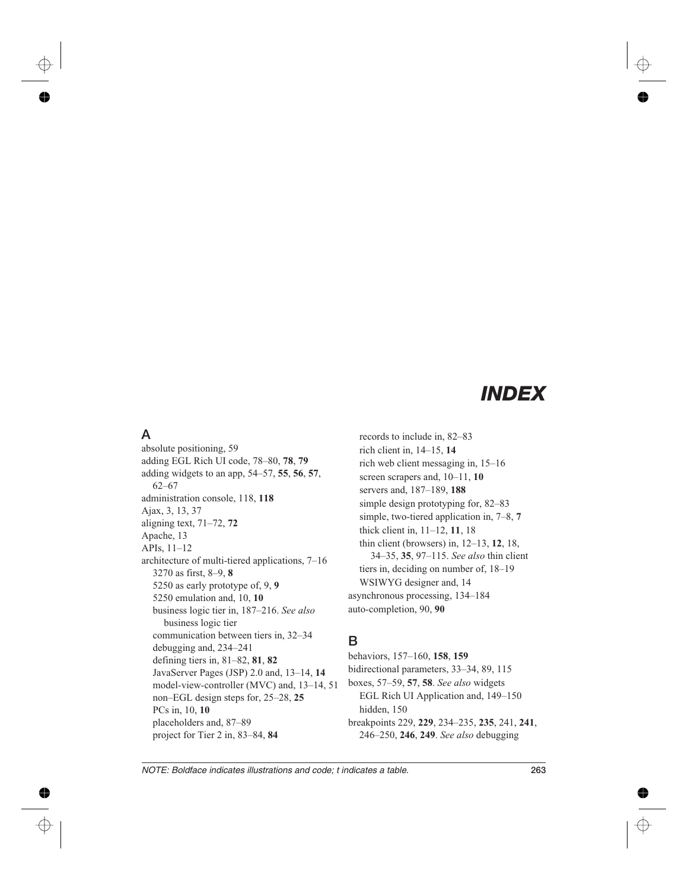# *INDEX*

## **A**

absolute positioning, 59 adding EGL Rich UI code, 78*–*80, **78**, **79** adding widgets to an app, 54*–*57, **55**, **56**, **57**, 62*–*67 administration console, 118, **118** Ajax, 3, 13, 37 aligning text, 71*–*72, **72** Apache, 13 APIs, 11*–*12 architecture of multi*-*tiered applications, 7*–*16 3270 as first, 8*–*9, **8** 5250 as early prototype of, 9, **9** 5250 emulation and, 10, **10** business logic tier in, 187*–*216. *See also* business logic tier communication between tiers in, 32*–*34 debugging and, 234*–*241 defining tiers in, 81*–*82, **81**, **82** JavaServer Pages (JSP) 2.0 and, 13*–*14, **14** model*-*view*-*controller (MVC) and, 13*–*14, 51 non*–*EGL design steps for, 25*–*28, **25** PCs in, 10, **10** placeholders and, 87*–*89 project for Tier 2 in, 83*–*84, **84**

records to include in, 82*–*83 rich client in, 14*–*15, **14** rich web client messaging in, 15*–*16 screen scrapers and, 10*–*11, **10** servers and, 187*–*189, **188** simple design prototyping for, 82*–*83 simple, two*-*tiered application in, 7*–*8, **7** thick client in, 11*–*12, **11**, 18 thin client (browsers) in, 12*–*13, **12**, 18, 34*–*35, **35**, 97*–*115. *See also* thin client tiers in, deciding on number of, 18*–*19 WSIWYG designer and, 14 asynchronous processing, 134*–*184 auto*-*completion, 90, **90**

## **B**

behaviors, 157*–*160, **158**, **159** bidirectional parameters, 33*–*34, 89, 115 boxes, 57*–*59, **57**, **58**. *See also* widgets EGL Rich UI Application and, 149*–*150 hidden, 150 breakpoints 229, **229**, 234*–*235, **235**, 241, **241**, 246*–*250, **246**, **249**. *See also* debugging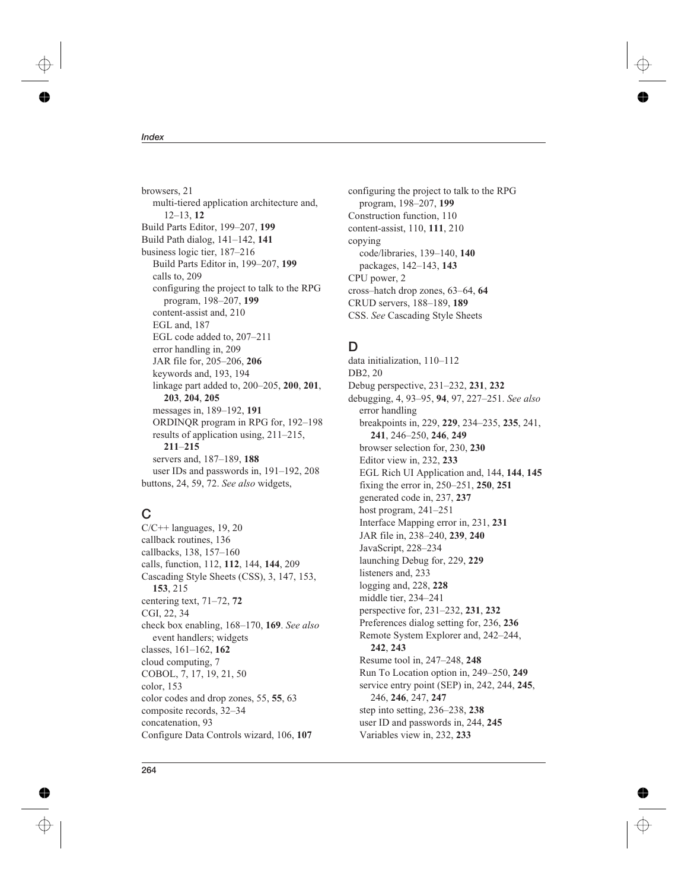browsers, 21 multi*-*tiered application architecture and, 12*–*13, **12** Build Parts Editor, 199*–*207, **199** Build Path dialog, 141*–*142, **141** business logic tier, 187*–*216 Build Parts Editor in, 199*–*207, **199** calls to, 209 configuring the project to talk to the RPG program, 198*–*207, **199** content*-*assist and, 210 EGL and, 187 EGL code added to, 207*–*211 error handling in, 209 JAR file for, 205*–*206, **206** keywords and, 193, 194 linkage part added to, 200*–*205, **200**, **201**, **203**, **204**, **205** messages in, 189*–*192, **191** ORDINQR program in RPG for, 192*–*198 results of application using, 211*–*215, **211***–***215** servers and, 187*–*189, **188** user IDs and passwords in, 191*–*192, 208 buttons, 24, 59, 72. *See also* widgets,

# **C**

 $C/C++$  languages, 19, 20 callback routines, 136 callbacks, 138, 157*–*160 calls, function, 112, **112**, 144, **144**, 209 Cascading Style Sheets (CSS), 3, 147, 153, **153**, 215 centering text, 71*–*72, **72** CGI, 22, 34 check box enabling, 168*–*170, **169**. *See also* event handlers; widgets classes, 161*–*162, **162** cloud computing, 7 COBOL, 7, 17, 19, 21, 50 color, 153 color codes and drop zones, 55, **55**, 63 composite records, 32*–*34 concatenation, 93 Configure Data Controls wizard, 106, **107**

configuring the project to talk to the RPG program, 198*–*207, **199** Construction function, 110 content*-*assist, 110, **111**, 210 copying code/libraries, 139*–*140, **140** packages, 142*–*143, **143** CPU power, 2 cross*–*hatch drop zones, 63*–*64, **64** CRUD servers, 188*–*189, **189** CSS. *See* Cascading Style Sheets

# **D**

data initialization, 110*–*112 DB2, 20 Debug perspective, 231*–*232, **231**, **232** debugging, 4, 93*–*95, **94**, 97, 227*–*251. *See also* error handling breakpoints in, 229, **229**, 234*–*235, **235**, 241, **241**, 246*–*250, **246**, **249** browser selection for, 230, **230** Editor view in, 232, **233** EGL Rich UI Application and, 144, **144**, **145** fixing the error in, 250*–*251, **250**, **251** generated code in, 237, **237** host program, 241*–*251 Interface Mapping error in, 231, **231** JAR file in, 238*–*240, **239**, **240** JavaScript, 228*–*234 launching Debug for, 229, **229** listeners and, 233 logging and, 228, **228** middle tier, 234*–*241 perspective for, 231*–*232, **231**, **232** Preferences dialog setting for, 236, **236** Remote System Explorer and, 242*–*244, **242**, **243** Resume tool in, 247*–*248, **248** Run To Location option in, 249*–*250, **249** service entry point (SEP) in, 242, 244, **245**, 246, **246**, 247, **247** step into setting, 236*–*238, **238** user ID and passwords in, 244, **245** Variables view in, 232, **233**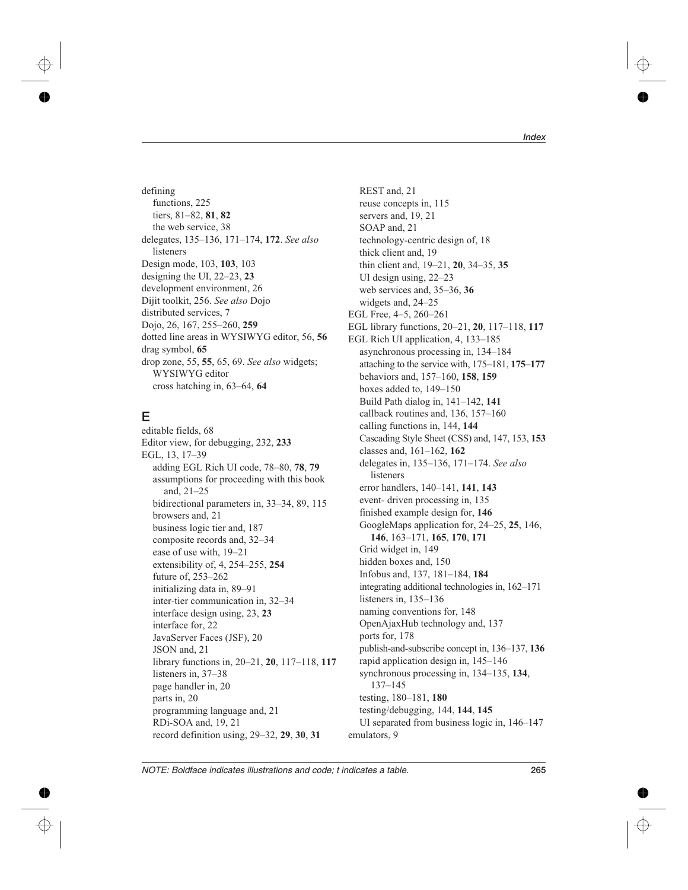defining functions, 225 tiers, 81*–*82, **81**, **82** the web service, 38 delegates, 135*–*136, 171*–*174, **172**. *See also* listeners Design mode, 103, **103**, 103 designing the UI, 22*–*23, **23** development environment, 26 Dijit toolkit, 256. *See also* Dojo distributed services, 7 Dojo, 26, 167, 255*–*260, **259** dotted line areas in WYSIWYG editor, 56, **56** drag symbol, **65** drop zone, 55, **55**, 65, 69. *See also* widgets; WYSIWYG editor cross hatching in, 63*–*64, **64**

# **E**

editable fields, 68 Editor view, for debugging, 232, **233** EGL, 13, 17*–*39 adding EGL Rich UI code, 78*–*80, **78**, **79** assumptions for proceeding with this book and, 21*–*25 bidirectional parameters in, 33*–*34, 89, 115 browsers and, 21 business logic tier and, 187 composite records and, 32*–*34 ease of use with, 19*–*21 extensibility of, 4, 254*–*255, **254** future of, 253*–*262 initializing data in, 89*–*91 inter*-*tier communication in, 32*–*34 interface design using, 23, **23** interface for, 22 JavaServer Faces (JSF), 20 JSON and, 21 library functions in, 20*–*21, **20**, 117*–*118, **117** listeners in, 37*–*38 page handler in, 20 parts in, 20 programming language and, 21 RDi*-*SOA and, 19, 21 record definition using, 29*–*32, **29**, **30**, **31**

REST and, 21 reuse concepts in, 115 servers and, 19, 21 SOAP and, 21 technology*-*centric design of, 18 thick client and, 19 thin client and, 19*–*21, **20**, 34*–*35, **35** UI design using, 22*–*23 web services and, 35*–*36, **36** widgets and, 24*–*25 EGL Free, 4*–*5, 260*–*261 EGL library functions, 20*–*21, **20**, 117*–*118, **117** EGL Rich UI application, 4, 133*–*185 asynchronous processing in, 134*–*184 attaching to the service with, 175*–*181, **175***–***177** behaviors and, 157*–*160, **158**, **159** boxes added to, 149*–*150 Build Path dialog in, 141*–*142, **141** callback routines and, 136, 157*–*160 calling functions in, 144, **144** Cascading Style Sheet (CSS) and, 147, 153, **153** classes and, 161*–*162, **162** delegates in, 135*–*136, 171*–*174. *See also* listeners error handlers, 140*–*141, **141**, **143** event*-* driven processing in, 135 finished example design for, **146** GoogleMaps application for, 24*–*25, **25**, 146, **146**, 163*–*171, **165**, **170**, **171** Grid widget in, 149 hidden boxes and, 150 Infobus and, 137, 181*–*184, **184** integrating additional technologies in, 162*–*171 listeners in, 135*–*136 naming conventions for, 148 OpenAjaxHub technology and, 137 ports for, 178 publish*-*and*-*subscribe concept in, 136*–*137, **136** rapid application design in, 145*–*146 synchronous processing in, 134*–*135, **134**, 137*–*145 testing, 180*–*181, **180** testing/debugging, 144, **144**, **145** UI separated from business logic in, 146*–*147 emulators, 9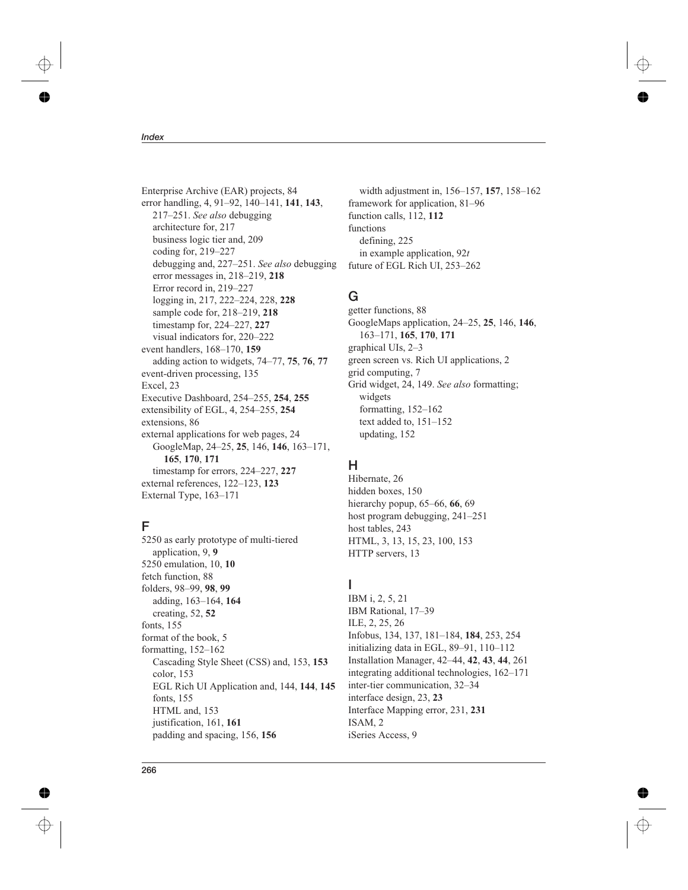Enterprise Archive (EAR) projects, 84 error handling, 4, 91*–*92, 140*–*141, **141**, **143**, 217*–*251. *See also* debugging architecture for, 217 business logic tier and, 209 coding for, 219*–*227 debugging and, 227*–*251. *See also* debugging error messages in, 218*–*219, **218** Error record in, 219*–*227 logging in, 217, 222*–*224, 228, **228** sample code for, 218*–*219, **218** timestamp for, 224*–*227, **227** visual indicators for, 220*–*222 event handlers, 168*–*170, **159** adding action to widgets, 74*–*77, **75**, **76**, **77** event*-*driven processing, 135 Excel, 23 Executive Dashboard, 254*–*255, **254**, **255** extensibility of EGL, 4, 254*–*255, **254** extensions, 86 external applications for web pages, 24 GoogleMap, 24*–*25, **25**, 146, **146**, 163*–*171, **165**, **170**, **171** timestamp for errors, 224*–*227, **227** external references, 122*–*123, **123** External Type, 163*–*171

## **F**

5250 as early prototype of multi*-*tiered application, 9, **9** 5250 emulation, 10, **10** fetch function, 88 folders, 98*–*99, **98**, **99** adding, 163*–*164, **164** creating, 52, **52** fonts, 155 format of the book, 5 formatting, 152*–*162 Cascading Style Sheet (CSS) and, 153, **153** color, 153 EGL Rich UI Application and, 144, **144**, **145** fonts, 155 HTML and, 153 justification, 161, **161** padding and spacing, 156, **156**

width adjustment in, 156*–*157, **157**, 158*–*162 framework for application, 81*–*96 function calls, 112, **112** functions defining, 225 in example application, 92*t* future of EGL Rich UI, 253*–*262

## **G**

getter functions, 88 GoogleMaps application, 24*–*25, **25**, 146, **146**, 163*–*171, **165**, **170**, **171** graphical UIs, 2*–*3 green screen vs. Rich UI applications, 2 grid computing, 7 Grid widget, 24, 149. *See also* formatting; widgets formatting, 152*–*162 text added to, 151*–*152 updating, 152

## **H**

Hibernate, 26 hidden boxes, 150 hierarchy popup, 65*–*66, **66**, 69 host program debugging, 241*–*251 host tables, 243 HTML, 3, 13, 15, 23, 100, 153 HTTP servers, 13

## **I**

IBM i, 2, 5, 21 IBM Rational, 17*–*39 ILE, 2, 25, 26 Infobus, 134, 137, 181*–*184, **184**, 253, 254 initializing data in EGL, 89*–*91, 110*–*112 Installation Manager, 42*–*44, **42**, **43**, **44**, 261 integrating additional technologies, 162*–*171 inter*-*tier communication, 32*–*34 interface design, 23, **23** Interface Mapping error, 231, **231** ISAM, 2 iSeries Access, 9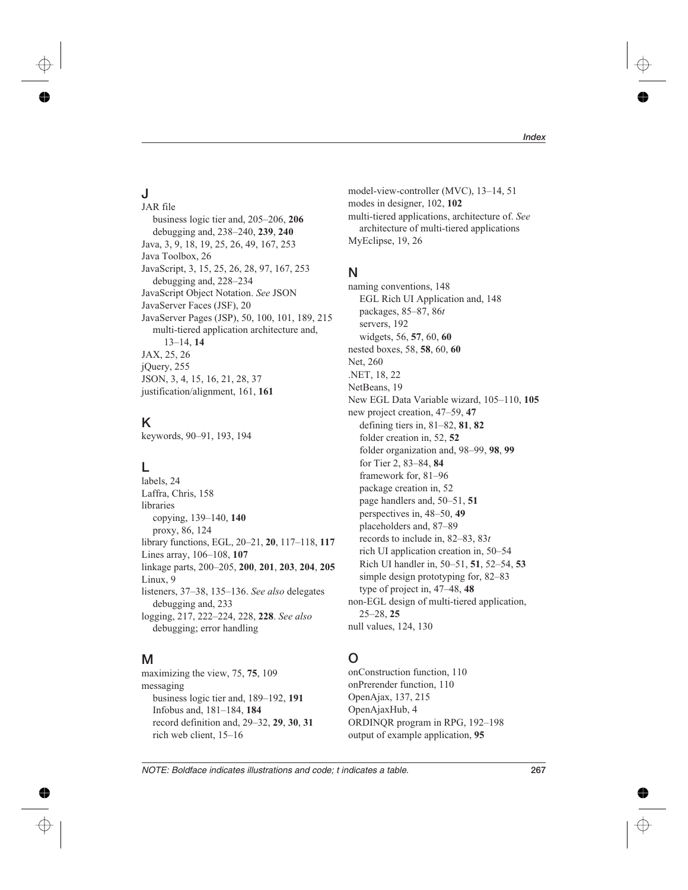# **J**

JAR file business logic tier and, 205*–*206, **206** debugging and, 238*–*240, **239**, **240** Java, 3, 9, 18, 19, 25, 26, 49, 167, 253 Java Toolbox, 26 JavaScript, 3, 15, 25, 26, 28, 97, 167, 253 debugging and, 228*–*234 JavaScript Object Notation. *See* JSON JavaServer Faces (JSF), 20 JavaServer Pages (JSP), 50, 100, 101, 189, 215 multi*-*tiered application architecture and, 13*–*14, **14** JAX, 25, 26 jQuery, 255 JSON, 3, 4, 15, 16, 21, 28, 37 justification/alignment, 161, **161**

# **K**

keywords, 90*–*91, 193, 194

## **L**

labels, 24 Laffra, Chris, 158 libraries copying, 139*–*140, **140** proxy, 86, 124 library functions, EGL, 20*–*21, **20**, 117*–*118, **117** Lines array, 106*–*108, **107** linkage parts, 200*–*205, **200**, **201**, **203**, **204**, **205** Linux, 9 listeners, 37*–*38, 135*–*136. *See also* delegates debugging and, 233 logging, 217, 222*–*224, 228, **228**. *See also* debugging; error handling

## **M**

maximizing the view, 75, **75**, 109 messaging business logic tier and, 189*–*192, **191** Infobus and, 181*–*184, **184** record definition and, 29*–*32, **29**, **30**, **31** rich web client, 15*–*16

model*-*view*-*controller (MVC), 13*–*14, 51 modes in designer, 102, **102** multi*-*tiered applications, architecture of. *See* architecture of multi*-*tiered applications MyEclipse, 19, 26

#### **N**

naming conventions, 148 EGL Rich UI Application and, 148 packages, 85*–*87, 86*t* servers, 192 widgets, 56, **57**, 60, **60** nested boxes, 58, **58**, 60, **60** Net, 260 .NET, 18, 22 NetBeans, 19 New EGL Data Variable wizard, 105*–*110, **105** new project creation, 47*–*59, **47** defining tiers in, 81*–*82, **81**, **82** folder creation in, 52, **52** folder organization and, 98*–*99, **98**, **99** for Tier 2, 83*–*84, **84** framework for, 81*–*96 package creation in, 52 page handlers and, 50*–*51, **51** perspectives in, 48*–*50, **49** placeholders and, 87*–*89 records to include in, 82*–*83, 83*t* rich UI application creation in, 50*–*54 Rich UI handler in, 50*–*51, **51**, 52*–*54, **53** simple design prototyping for, 82*–*83 type of project in, 47*–*48, **48** non*-*EGL design of multi*-*tiered application, 25*–*28, **25** null values, 124, 130

# **O**

onConstruction function, 110 onPrerender function, 110 OpenAjax, 137, 215 OpenAjaxHub, 4 ORDINQR program in RPG, 192*–*198 output of example application, **95**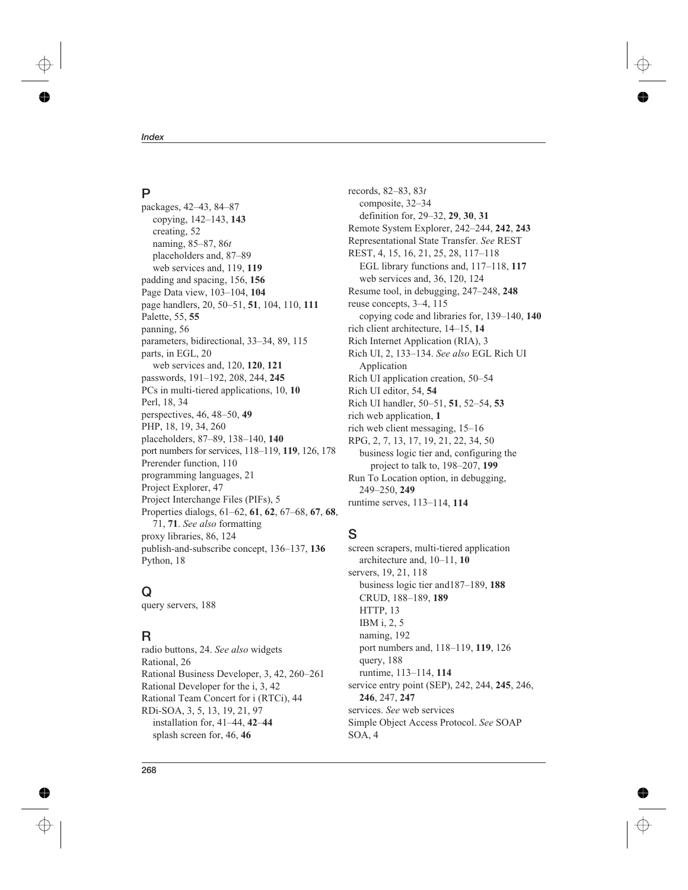## **P**

packages, 42*–*43, 84*–*87 copying, 142*–*143, **143** creating, 52 naming, 85*–*87, 86*t* placeholders and, 87*–*89 web services and, 119, **119** padding and spacing, 156, **156** Page Data view, 103*–*104, **104** page handlers, 20, 50*–*51, **51**, 104, 110, **111** Palette, 55, **55** panning, 56 parameters, bidirectional, 33*–*34, 89, 115 parts, in EGL, 20 web services and, 120, **120**, **121** passwords, 191*–*192, 208, 244, **245** PCs in multi*-*tiered applications, 10, **10** Perl, 18, 34 perspectives, 46, 48*–*50, **49** PHP, 18, 19, 34, 260 placeholders, 87*–*89, 138*–*140, **140** port numbers for services, 118*–*119, **119**, 126, 178 Prerender function, 110 programming languages, 21 Project Explorer, 47 Project Interchange Files (PIFs), 5 Properties dialogs, 61*–*62, **61**, **62**, 67*–*68, **67**, **68**, 71, **71**. *See also* formatting proxy libraries, 86, 124 publish*-*and*-*subscribe concept, 136*–*137, **136** Python, 18

## **Q**

query servers, 188

## **R**

radio buttons, 24. *See also* widgets Rational, 26 Rational Business Developer, 3, 42, 260*–*261 Rational Developer for the i, 3, 42 Rational Team Concert for i (RTCi), 44 RDi*-*SOA, 3, 5, 13, 19, 21, 97 installation for, 41*–*44, **42***–***44** splash screen for, 46, **46**

records, 82*–*83, 83*t* composite, 32*–*34 definition for, 29*–*32, **29**, **30**, **31** Remote System Explorer, 242*–*244, **242**, **243** Representational State Transfer. *See* REST REST, 4, 15, 16, 21, 25, 28, 117*–*118 EGL library functions and, 117*–*118, **117** web services and, 36, 120, 124 Resume tool, in debugging, 247*–*248, **248** reuse concepts, 3*–*4, 115 copying code and libraries for, 139*–*140, **140** rich client architecture, 14*–*15, **14** Rich Internet Application (RIA), 3 Rich UI, 2, 133*–*134. *See also* EGL Rich UI Application Rich UI application creation, 50*–*54 Rich UI editor, 54, **54** Rich UI handler, 50*–*51, **51**, 52*–*54, **53** rich web application, **1** rich web client messaging, 15*–*16 RPG, 2, 7, 13, 17, 19, 21, 22, 34, 50 business logic tier and, configuring the project to talk to, 198*–*207, **199** Run To Location option, in debugging, 249*–*250, **249** runtime serves, 113*–*114, **114**

## **S**

screen scrapers, multi*-*tiered application architecture and, 10*–*11, **10** servers, 19, 21, 118 business logic tier and187*–*189, **188** CRUD, 188*–*189, **189** HTTP, 13 IBM i, 2, 5 naming, 192 port numbers and, 118*–*119, **119**, 126 query, 188 runtime, 113*–*114, **114** service entry point (SEP), 242, 244, **245**, 246, **246**, 247, **247** services. *See* web services Simple Object Access Protocol. *See* SOAP SOA, 4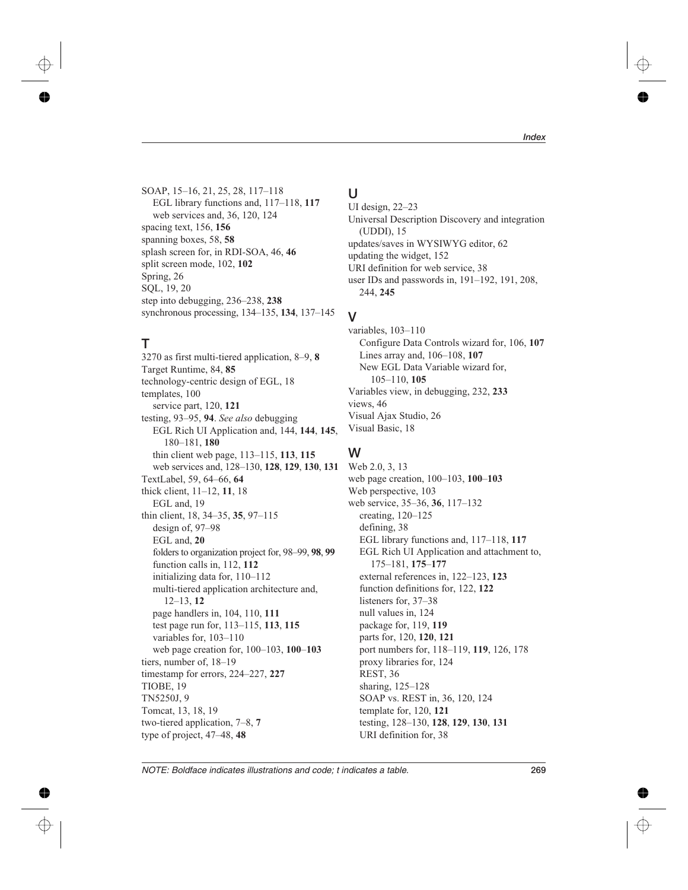SOAP, 15*–*16, 21, 25, 28, 117*–*118 EGL library functions and, 117*–*118, **117** web services and, 36, 120, 124 spacing text, 156, **156** spanning boxes, 58, **58** splash screen for, in RDI*-*SOA, 46, **46** split screen mode, 102, **102** Spring, 26 SQL, 19, 20 step into debugging, 236*–*238, **238** synchronous processing, 134*–*135, **134**, 137*–*145

## **T**

3270 as first multi*-*tiered application, 8*–*9, **8** Target Runtime, 84, **85** technology*-*centric design of EGL, 18 templates, 100 service part, 120, **121** testing, 93*–*95, **94**. *See also* debugging EGL Rich UI Application and, 144, **144**, **145**, 180*–*181, **180** thin client web page, 113*–*115, **113**, **115** web services and, 128*–*130, **128**, **129**, **130**, **131** TextLabel, 59, 64*–*66, **64** thick client, 11*–*12, **11**, 18 EGL and, 19 thin client, 18, 34*–*35, **35**, 97*–*115 design of, 97*–*98 EGL and, **20** folders to organization project for, 98*–*99, **98**, **99** function calls in, 112, **112** initializing data for, 110*–*112 multi*-*tiered application architecture and, 12*–*13, **12** page handlers in, 104, 110, **111** test page run for, 113*–*115, **113**, **115** variables for, 103*–*110 web page creation for, 100*–*103, **100***–***103** tiers, number of, 18*–*19 timestamp for errors, 224*–*227, **227** TIOBE, 19 TN5250J, 9 Tomcat, 13, 18, 19 two*-*tiered application, 7*–*8, **7** type of project, 47*–*48, **48**

# **U**

UI design, 22*–*23 Universal Description Discovery and integration (UDDI), 15 updates/saves in WYSIWYG editor, 62 updating the widget, 152 URI definition for web service, 38 user IDs and passwords in, 191*–*192, 191, 208, 244, **245**

#### **V**

variables, 103*–*110 Configure Data Controls wizard for, 106, **107** Lines array and, 106*–*108, **107** New EGL Data Variable wizard for, 105*–*110, **105** Variables view, in debugging, 232, **233** views, 46 Visual Ajax Studio, 26 Visual Basic, 18

#### **W**

Web 2.0, 3, 13 web page creation, 100*–*103, **100***–***103** Web perspective, 103 web service, 35*–*36, **36**, 117*–*132 creating, 120*–*125 defining, 38 EGL library functions and, 117*–*118, **117** EGL Rich UI Application and attachment to, 175*–*181, **175***–***177** external references in, 122*–*123, **123** function definitions for, 122, **122** listeners for, 37*–*38 null values in, 124 package for, 119, **119** parts for, 120, **120**, **121** port numbers for, 118*–*119, **119**, 126, 178 proxy libraries for, 124 REST, 36 sharing, 125*–*128 SOAP vs. REST in, 36, 120, 124 template for, 120, **121** testing, 128*–*130, **128**, **129**, **130**, **131** URI definition for, 38